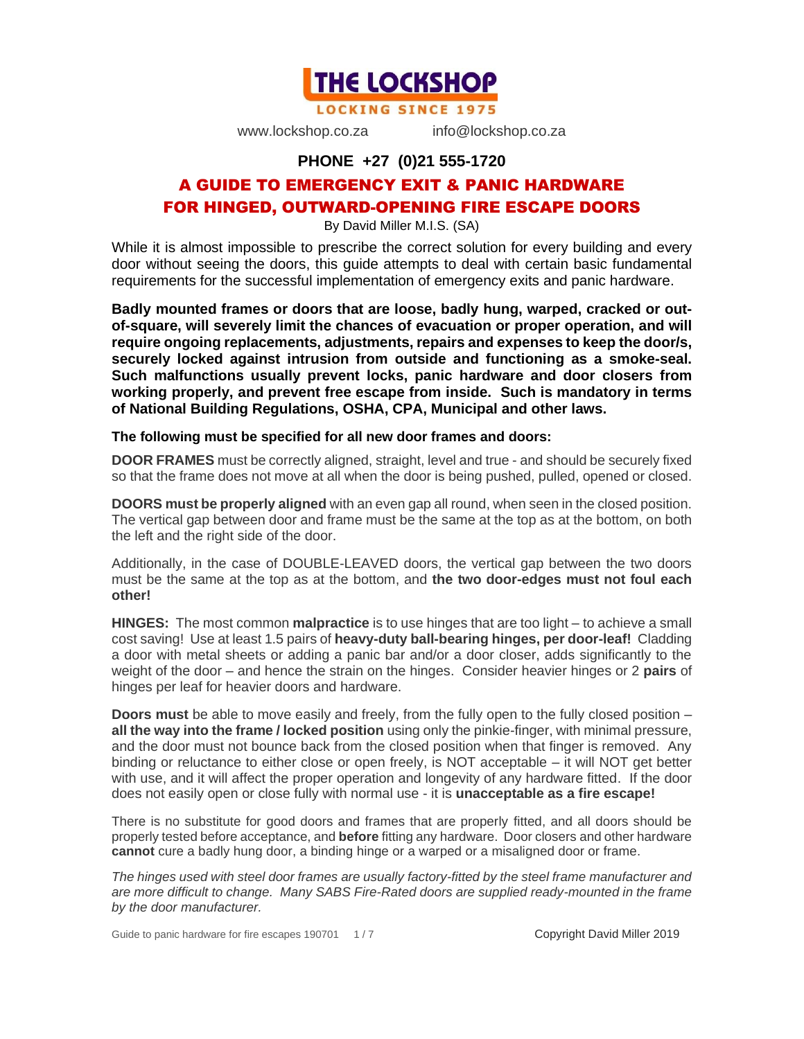

**LOCKING SINCE 1975** 

www.lockshop.co.za info@lockshop.co.za

#### **PHONE +27 (0)21 555-1720**

# A GUIDE TO EMERGENCY EXIT & PANIC HARDWARE FOR HINGED, OUTWARD-OPENING FIRE ESCAPE DOORS

By David Miller M.I.S. (SA)

While it is almost impossible to prescribe the correct solution for every building and every door without seeing the doors, this guide attempts to deal with certain basic fundamental requirements for the successful implementation of emergency exits and panic hardware.

**Badly mounted frames or doors that are loose, badly hung, warped, cracked or outof-square, will severely limit the chances of evacuation or proper operation, and will require ongoing replacements, adjustments, repairs and expenses to keep the door/s, securely locked against intrusion from outside and functioning as a smoke-seal. Such malfunctions usually prevent locks, panic hardware and door closers from working properly, and prevent free escape from inside. Such is mandatory in terms of National Building Regulations, OSHA, CPA, Municipal and other laws.** 

#### **The following must be specified for all new door frames and doors:**

**DOOR FRAMES** must be correctly aligned, straight, level and true - and should be securely fixed so that the frame does not move at all when the door is being pushed, pulled, opened or closed.

**DOORS must be properly aligned** with an even gap all round, when seen in the closed position. The vertical gap between door and frame must be the same at the top as at the bottom, on both the left and the right side of the door.

Additionally, in the case of DOUBLE-LEAVED doors, the vertical gap between the two doors must be the same at the top as at the bottom, and **the two door-edges must not foul each other!**

**HINGES:** The most common **malpractice** is to use hinges that are too light – to achieve a small cost saving! Use at least 1.5 pairs of **heavy-duty ball-bearing hinges, per door-leaf!** Cladding a door with metal sheets or adding a panic bar and/or a door closer, adds significantly to the weight of the door – and hence the strain on the hinges. Consider heavier hinges or 2 **pairs** of hinges per leaf for heavier doors and hardware.

**Doors must** be able to move easily and freely, from the fully open to the fully closed position – **all the way into the frame / locked position** using only the pinkie-finger, with minimal pressure, and the door must not bounce back from the closed position when that finger is removed. Any binding or reluctance to either close or open freely, is NOT acceptable – it will NOT get better with use, and it will affect the proper operation and longevity of any hardware fitted. If the door does not easily open or close fully with normal use - it is **unacceptable as a fire escape!**

There is no substitute for good doors and frames that are properly fitted, and all doors should be properly tested before acceptance, and **before** fitting any hardware. Door closers and other hardware **cannot** cure a badly hung door, a binding hinge or a warped or a misaligned door or frame.

*The hinges used with steel door frames are usually factory-fitted by the steel frame manufacturer and are more difficult to change. Many SABS Fire-Rated doors are supplied ready-mounted in the frame by the door manufacturer.*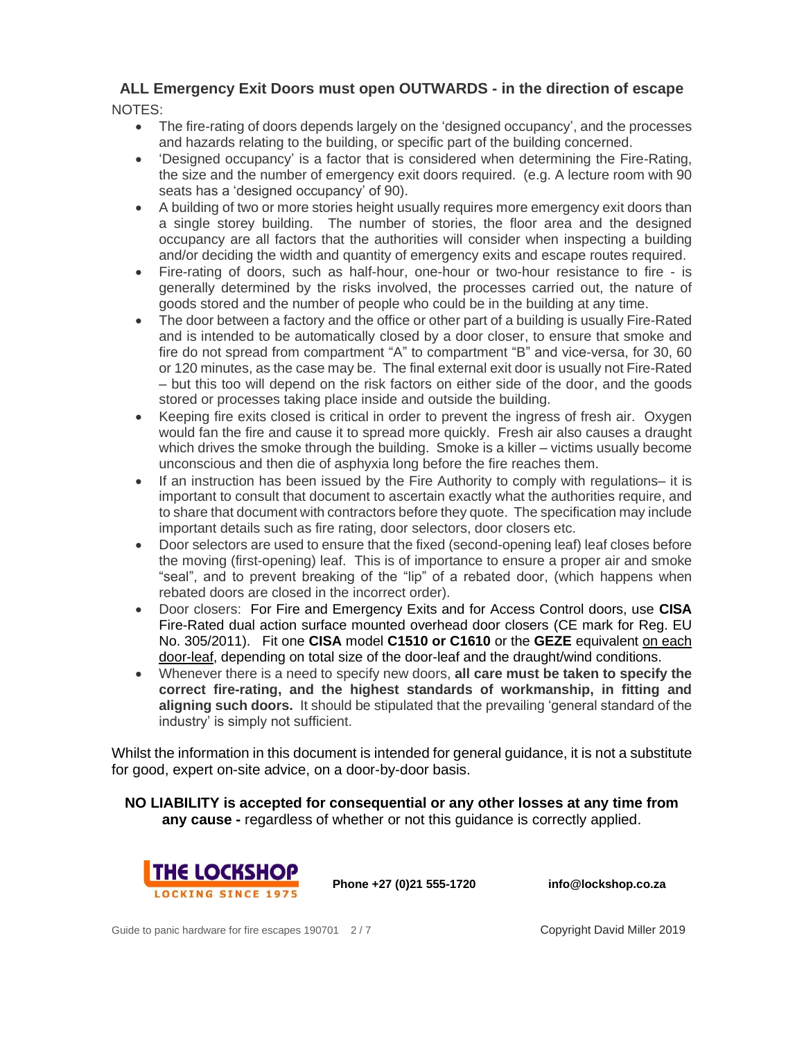# **ALL Emergency Exit Doors must open OUTWARDS - in the direction of escape**

NOTES:

- The fire-rating of doors depends largely on the 'designed occupancy', and the processes and hazards relating to the building, or specific part of the building concerned.
- 'Designed occupancy' is a factor that is considered when determining the Fire-Rating, the size and the number of emergency exit doors required. (e.g. A lecture room with 90 seats has a 'designed occupancy' of 90).
- A building of two or more stories height usually requires more emergency exit doors than a single storey building. The number of stories, the floor area and the designed occupancy are all factors that the authorities will consider when inspecting a building and/or deciding the width and quantity of emergency exits and escape routes required.
- Fire-rating of doors, such as half-hour, one-hour or two-hour resistance to fire is generally determined by the risks involved, the processes carried out, the nature of goods stored and the number of people who could be in the building at any time.
- The door between a factory and the office or other part of a building is usually Fire-Rated and is intended to be automatically closed by a door closer, to ensure that smoke and fire do not spread from compartment "A" to compartment "B" and vice-versa, for 30, 60 or 120 minutes, as the case may be. The final external exit door is usually not Fire-Rated – but this too will depend on the risk factors on either side of the door, and the goods stored or processes taking place inside and outside the building.
- Keeping fire exits closed is critical in order to prevent the ingress of fresh air. Oxygen would fan the fire and cause it to spread more quickly. Fresh air also causes a draught which drives the smoke through the building. Smoke is a killer – victims usually become unconscious and then die of asphyxia long before the fire reaches them.
- If an instruction has been issued by the Fire Authority to comply with regulations– it is important to consult that document to ascertain exactly what the authorities require, and to share that document with contractors before they quote. The specification may include important details such as fire rating, door selectors, door closers etc.
- Door selectors are used to ensure that the fixed (second-opening leaf) leaf closes before the moving (first-opening) leaf. This is of importance to ensure a proper air and smoke "seal", and to prevent breaking of the "lip" of a rebated door, (which happens when rebated doors are closed in the incorrect order).
- Door closers: For Fire and Emergency Exits and for Access Control doors, use **CISA** Fire-Rated dual action surface mounted overhead door closers (CE mark for Reg. EU No. 305/2011). Fit one **CISA** model **C1510 or C1610** or the **GEZE** equivalent on each door-leaf, depending on total size of the door-leaf and the draught/wind conditions.
- Whenever there is a need to specify new doors, **all care must be taken to specify the correct fire-rating, and the highest standards of workmanship, in fitting and aligning such doors.** It should be stipulated that the prevailing 'general standard of the industry' is simply not sufficient.

Whilst the information in this document is intended for general guidance, it is not a substitute for good, expert on-site advice, on a door-by-door basis.

**NO LIABILITY is accepted for consequential or any other losses at any time from any cause -** regardless of whether or not this guidance is correctly applied.



**Phone +27 (0)21 555-1720 info@lockshop.co.za**

Guide to panic hardware for fire escapes 190701 2/7 Copyright David Miller 2019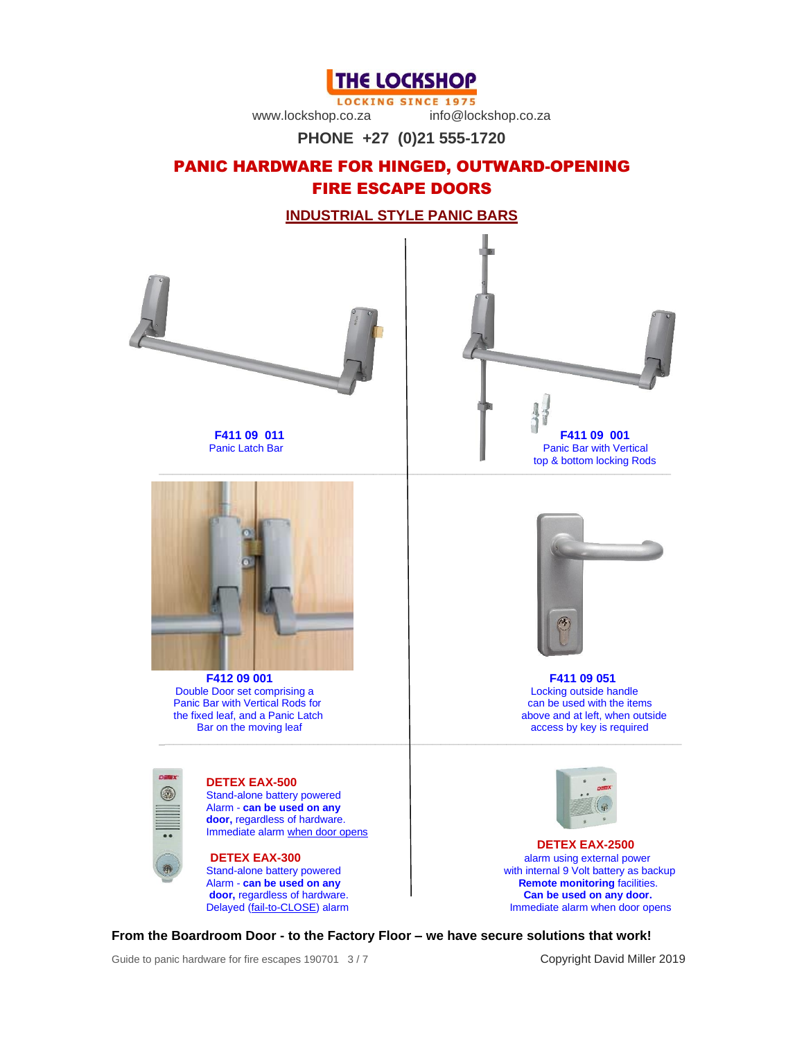**THE LOCKSHOP** 

**LOCKING SINCE 1975** 

www.lockshop.co.za info@lockshop.co.za

**PHONE +27 (0)21 555-1720**

# PANIC HARDWARE FOR HINGED, OUTWARD-OPENING FIRE ESCAPE DOORS

**INDUSTRIAL STYLE PANIC BARS**



**From the Boardroom Door - to the Factory Floor – we have secure solutions that work!**

Guide to panic hardware for fire escapes 190701 3/7 Copyright David Miller 2019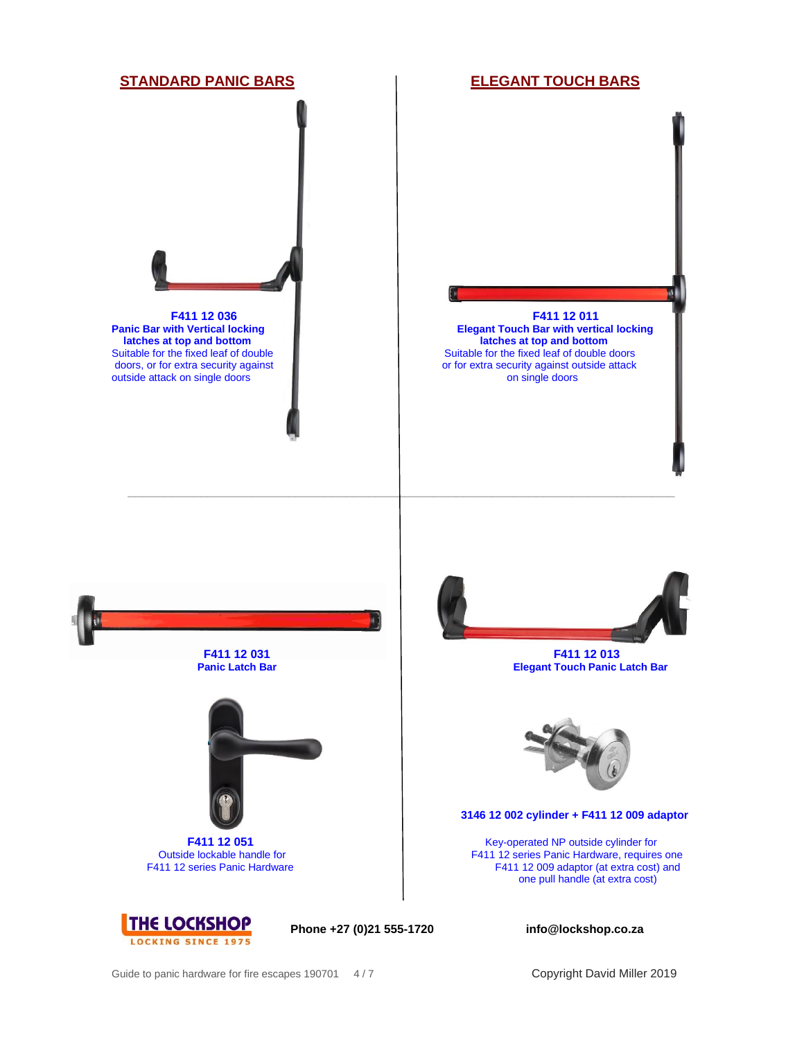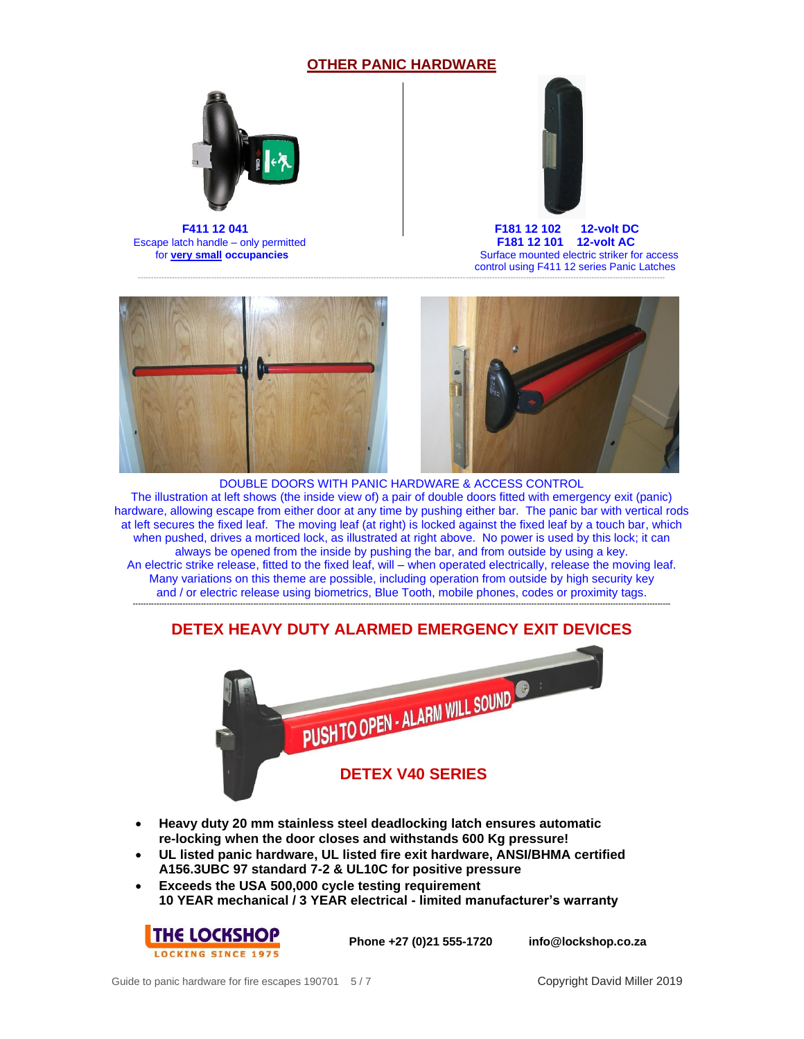#### **OTHER PANIC HARDWARE**

---------------------------------------------------------------------------------------------------------------------------------------------------------------------------------------------------------



Escape latch handle – only permitted **F181 12 101 12-volt AC**<br>for <u>very small</u> occupancies Surface mounted electric striker fo



 **F411 12 041 F181 12 102 12-volt DC Surface mounted electric striker for access** control using F411 12 series Panic Latches





DOUBLE DOORS WITH PANIC HARDWARE & ACCESS CONTROL The illustration at left shows (the inside view of) a pair of double doors fitted with emergency exit (panic) hardware, allowing escape from either door at any time by pushing either bar. The panic bar with vertical rods at left secures the fixed leaf. The moving leaf (at right) is locked against the fixed leaf by a touch bar, which when pushed, drives a morticed lock, as illustrated at right above. No power is used by this lock; it can always be opened from the inside by pushing the bar, and from outside by using a key. An electric strike release, fitted to the fixed leaf, will – when operated electrically, release the moving leaf. Many variations on this theme are possible, including operation from outside by high security key and / or electric release using biometrics, Blue Tooth, mobile phones, codes or proximity tags. **-------------------------------------------------------------------------------------------------------------------------------------------------------------------------------------------------------------**

### **DETEX HEAVY DUTY ALARMED EMERGENCY EXIT DEVICES**



- **Heavy duty 20 mm stainless steel deadlocking latch ensures automatic re-locking when the door closes and withstands 600 Kg pressure!**
- **UL listed panic hardware, UL listed fire exit hardware, ANSI/BHMA certified A156.3UBC 97 standard 7-2 & UL10C for positive pressure**
- **Exceeds the USA 500,000 cycle testing requirement 10 YEAR mechanical / 3 YEAR electrical - limited manufacturer's warranty**



**Phone +27 (0)21 555-1720 info@lockshop.co.za**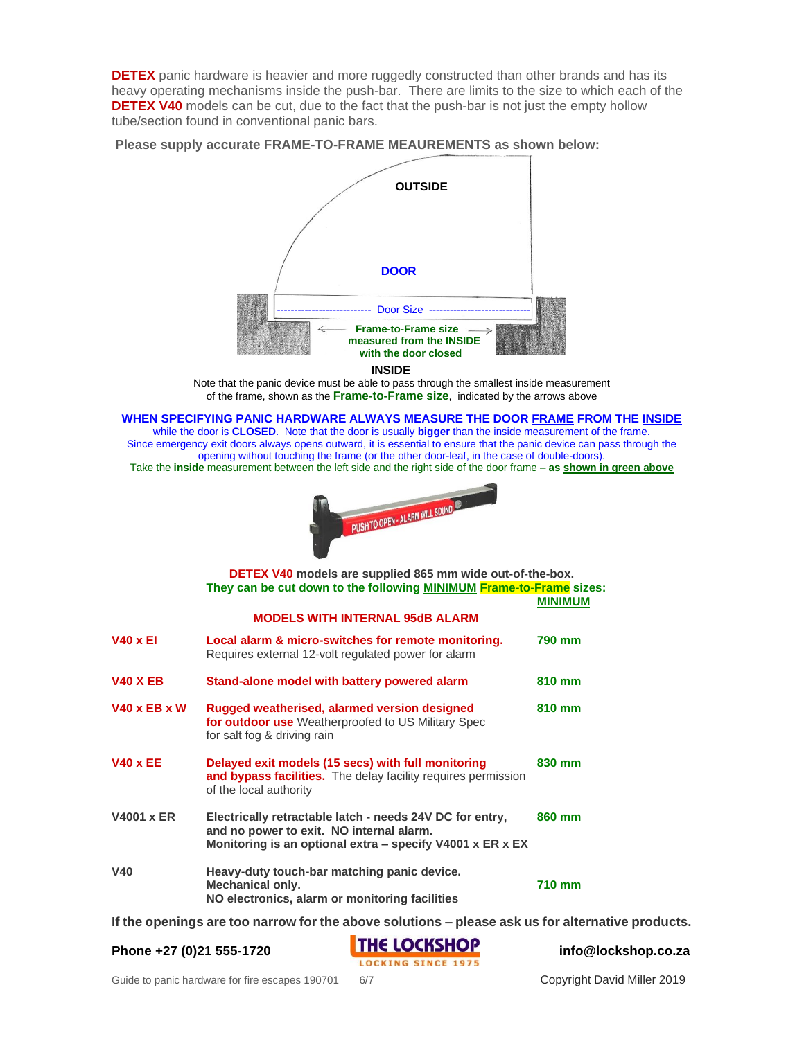**DETEX** panic hardware is heavier and more ruggedly constructed than other brands and has its heavy operating mechanisms inside the push-bar. There are limits to the size to which each of the **DETEX V40** models can be cut, due to the fact that the push-bar is not just the empty hollow tube/section found in conventional panic bars.

**Please supply accurate FRAME-TO-FRAME MEAUREMENTS as shown below:**



 **INSIDE**

Note that the panic device must be able to pass through the smallest inside measurement of the frame, shown as the **Frame-to-Frame size**, indicated by the arrows above

**WHEN SPECIFYING PANIC HARDWARE ALWAYS MEASURE THE DOOR FRAME FROM THE INSIDE**

while the door is **CLOSED**. Note that the door is usually **bigger** than the inside measurement of the frame. Since emergency exit doors always opens outward, it is essential to ensure that the panic device can pass through the opening without touching the frame (or the other door-leaf, in the case of double-doors). Take the **inside** measurement between the left side and the right side of the door frame – **as shown in green above**



|                                        | <b>DETEX V40</b> models are supplied 865 mm wide out-of-the-box.<br>They can be cut down to the following MINIMUM Frame-to-Frame sizes:                           | <b>MINIMUM</b> |
|----------------------------------------|-------------------------------------------------------------------------------------------------------------------------------------------------------------------|----------------|
| <b>MODELS WITH INTERNAL 95dB ALARM</b> |                                                                                                                                                                   |                |
| <b>V40 x EI</b>                        | Local alarm & micro-switches for remote monitoring.<br>Requires external 12-volt regulated power for alarm                                                        | 790 mm         |
| <b>V40 X EB</b>                        | Stand-alone model with battery powered alarm                                                                                                                      | 810 mm         |
| <b>V40 x EB x W</b>                    | Rugged weatherised, alarmed version designed<br>for outdoor use Weatherproofed to US Military Spec<br>for salt fog & driving rain                                 | 810 mm         |
| <b>V40 x EE</b>                        | Delayed exit models (15 secs) with full monitoring<br>and bypass facilities. The delay facility requires permission<br>of the local authority                     | 830 mm         |
| <b>V4001 x ER</b>                      | Electrically retractable latch - needs 24V DC for entry,<br>and no power to exit. NO internal alarm.<br>Monitoring is an optional extra – specify V4001 x ER x EX | 860 mm         |
| <b>V40</b>                             | Heavy-duty touch-bar matching panic device.<br><b>Mechanical only.</b><br>NO electronics, alarm or monitoring facilities                                          | <b>710 mm</b>  |

**If the openings are too narrow for the above solutions – please ask us for alternative products.**

Phone +27 (0)21 555-1720<br> **THE LOCKSHOP**<br> **LOCKING SINCE 1975**<br> **EXECUTE:**